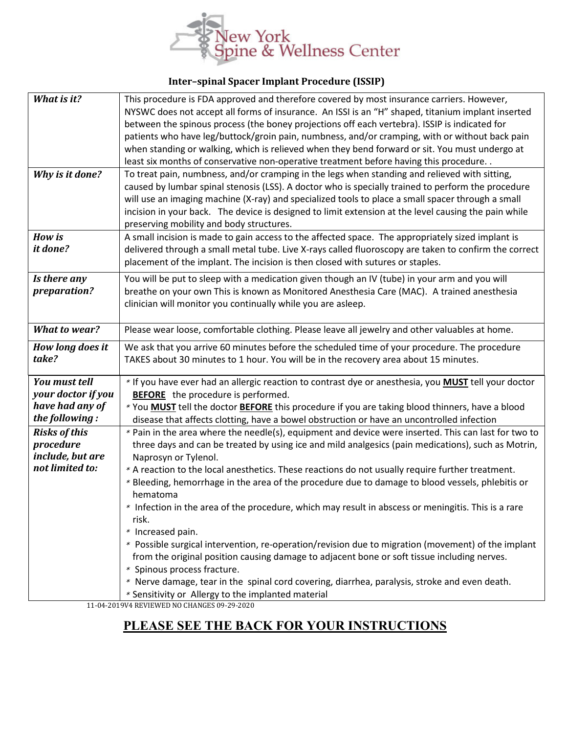

## **Inter–spinal Spacer Implant Procedure (ISSIP)**

| What is it?                       | This procedure is FDA approved and therefore covered by most insurance carriers. However,                                                                                                            |
|-----------------------------------|------------------------------------------------------------------------------------------------------------------------------------------------------------------------------------------------------|
|                                   | NYSWC does not accept all forms of insurance. An ISSI is an "H" shaped, titanium implant inserted                                                                                                    |
|                                   | between the spinous process (the boney projections off each vertebra). ISSIP is indicated for                                                                                                        |
|                                   | patients who have leg/buttock/groin pain, numbness, and/or cramping, with or without back pain                                                                                                       |
|                                   | when standing or walking, which is relieved when they bend forward or sit. You must undergo at                                                                                                       |
|                                   | least six months of conservative non-operative treatment before having this procedure                                                                                                                |
| Why is it done?                   | To treat pain, numbness, and/or cramping in the legs when standing and relieved with sitting,                                                                                                        |
|                                   | caused by lumbar spinal stenosis (LSS). A doctor who is specially trained to perform the procedure                                                                                                   |
|                                   | will use an imaging machine (X-ray) and specialized tools to place a small spacer through a small                                                                                                    |
|                                   | incision in your back. The device is designed to limit extension at the level causing the pain while                                                                                                 |
|                                   | preserving mobility and body structures.                                                                                                                                                             |
| <b>How is</b>                     | A small incision is made to gain access to the affected space. The appropriately sized implant is                                                                                                    |
| it done?                          | delivered through a small metal tube. Live X-rays called fluoroscopy are taken to confirm the correct                                                                                                |
|                                   | placement of the implant. The incision is then closed with sutures or staples.                                                                                                                       |
| Is there any                      | You will be put to sleep with a medication given though an IV (tube) in your arm and you will                                                                                                        |
| preparation?                      | breathe on your own This is known as Monitored Anesthesia Care (MAC). A trained anesthesia                                                                                                           |
|                                   | clinician will monitor you continually while you are asleep.                                                                                                                                         |
|                                   |                                                                                                                                                                                                      |
| <b>What to wear?</b>              | Please wear loose, comfortable clothing. Please leave all jewelry and other valuables at home.                                                                                                       |
| How long does it                  | We ask that you arrive 60 minutes before the scheduled time of your procedure. The procedure                                                                                                         |
| take?                             | TAKES about 30 minutes to 1 hour. You will be in the recovery area about 15 minutes.                                                                                                                 |
|                                   |                                                                                                                                                                                                      |
| <b>You must tell</b>              | * If you have ever had an allergic reaction to contrast dye or anesthesia, you <b>MUST</b> tell your doctor                                                                                          |
| your doctor if you                | <b>BEFORE</b> the procedure is performed.                                                                                                                                                            |
| have had any of<br>the following: | * You <b>MUST</b> tell the doctor <b>BEFORE</b> this procedure if you are taking blood thinners, have a blood                                                                                        |
|                                   | disease that affects clotting, have a bowel obstruction or have an uncontrolled infection                                                                                                            |
| <b>Risks of this</b>              | * Pain in the area where the needle(s), equipment and device were inserted. This can last for two to                                                                                                 |
| procedure<br>include, but are     | three days and can be treated by using ice and mild analgesics (pain medications), such as Motrin,                                                                                                   |
| not limited to:                   | Naprosyn or Tylenol.                                                                                                                                                                                 |
|                                   | * A reaction to the local anesthetics. These reactions do not usually require further treatment.<br>* Bleeding, hemorrhage in the area of the procedure due to damage to blood vessels, phlebitis or |
|                                   | hematoma                                                                                                                                                                                             |
|                                   | * Infection in the area of the procedure, which may result in abscess or meningitis. This is a rare                                                                                                  |
|                                   | risk.                                                                                                                                                                                                |
|                                   | * Increased pain.                                                                                                                                                                                    |
|                                   | * Possible surgical intervention, re-operation/revision due to migration (movement) of the implant                                                                                                   |
|                                   | from the original position causing damage to adjacent bone or soft tissue including nerves.                                                                                                          |
|                                   | * Spinous process fracture.                                                                                                                                                                          |
|                                   | * Nerve damage, tear in the spinal cord covering, diarrhea, paralysis, stroke and even death.                                                                                                        |
|                                   | * Sensitivity or Allergy to the implanted material                                                                                                                                                   |

11-04-2019V4 REVIEWED NO CHANGES 09-29-2020

## **PLEASE SEE THE BACK FOR YOUR INSTRUCTIONS**